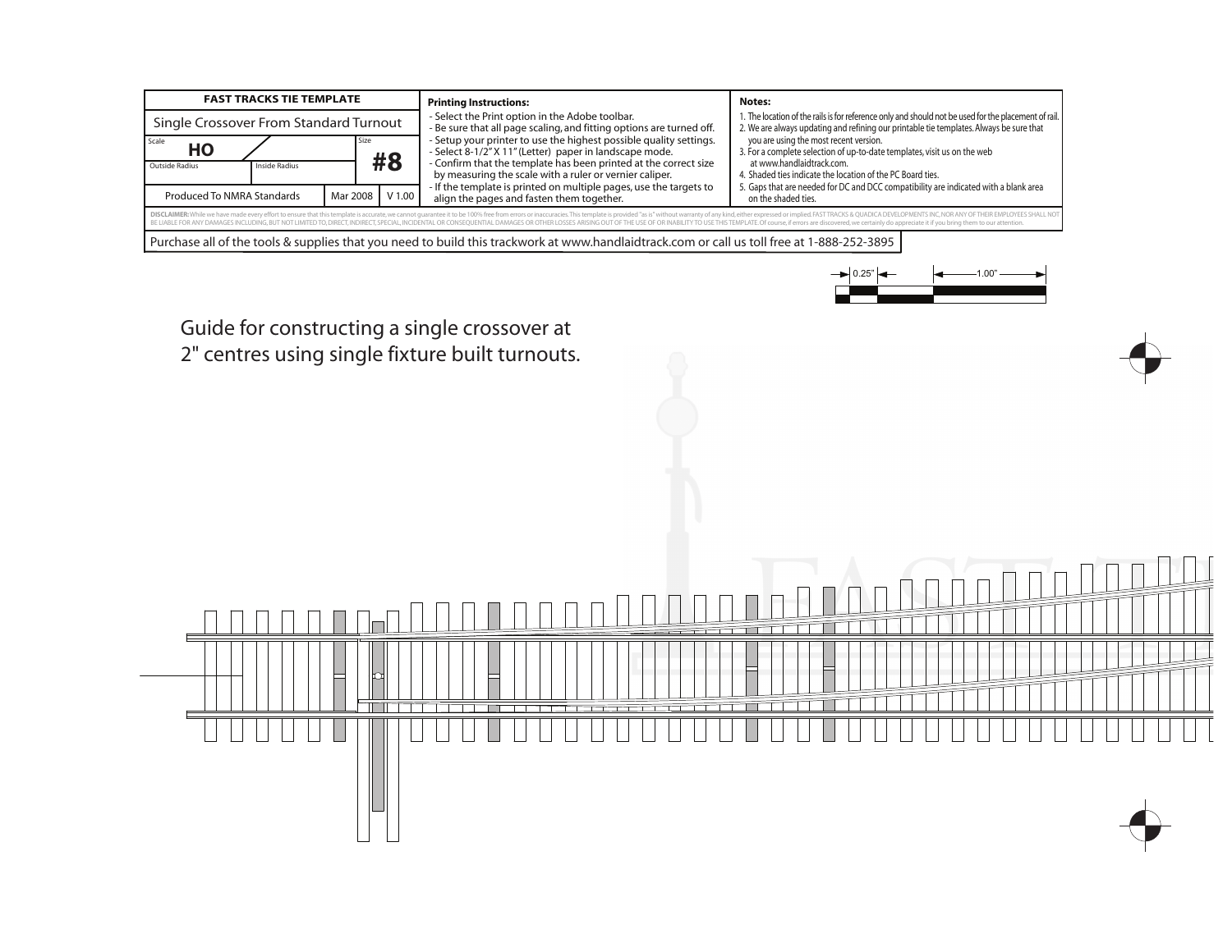



Guide for constructing a single crossover at 2" centres using single fixture built turnouts.

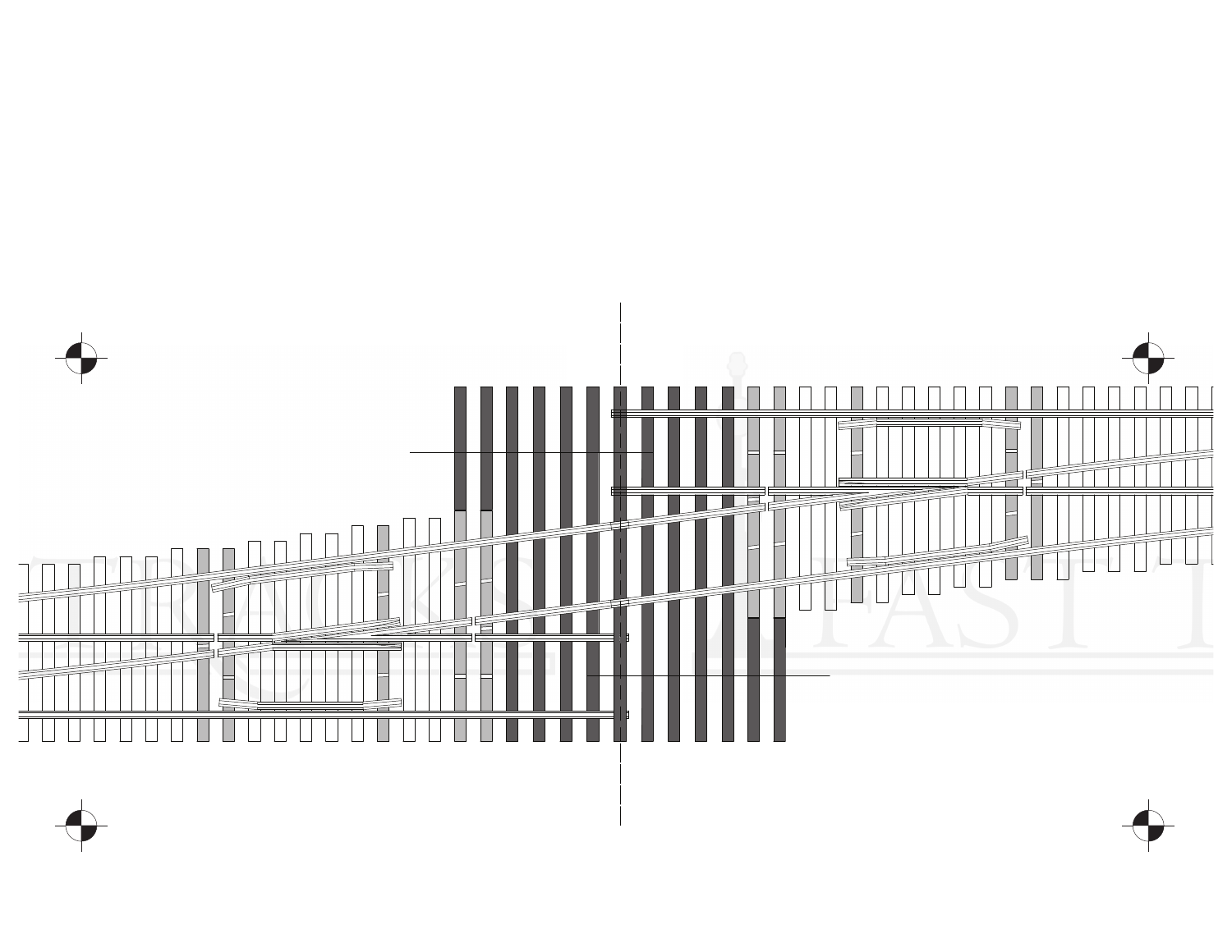